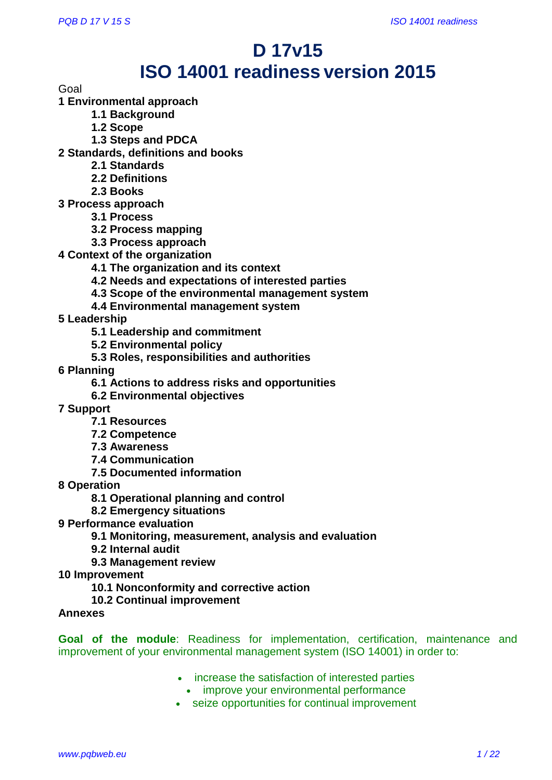# **D 17v15 ISO 14001 readiness version 2015**

Goal

**1 Environmental approach**

- **1.1 Background**
- **1.2 Scope**
- **1.3 Steps and PDCA**
- **2 Standards, definitions and books**
	- **2.1 Standards**
	- **2.2 Definitions**
	- **2.3 Books**
- **3 Process approach**
	- **3.1 Process**
	- **3.2 Process mapping**
	- **3.3 Process approach**
- **4 Context of the organization** 
	- **4.1 The organization and its context**
	- **4.2 Needs and expectations of interested parties**
	- **4.3 Scope of the environmental management system**
	- **4.4 Environmental management system**
- **5 Leadership** 
	- **5.1 Leadership and commitment**
	- **5.2 Environmental policy**
	- **5.3 Roles, responsibilities and authorities**
- **6 Planning**
	- **6.1 Actions to address risks and opportunities**
	- **6.2 Environmental objectives**

**7 Support** 

- **7.1 Resources**
- **7.2 Competence**
- **7.3 Awareness**
- **7.4 Communication**
- **7.5 Documented information**

**8 Operation** 

**8.1 Operational planning and control**

- **8.2 Emergency situations**
- **9 Performance evaluation** 
	- **9.1 Monitoring, measurement, analysis and evaluation**
	- **9.2 Internal audit**
	- **9.3 Management review**

**10 Improvement** 

- **10.1 Nonconformity and corrective action**
- **10.2 Continual improvement**

**Annexes**

**Goal of the module**: Readiness for implementation, certification, maintenance and improvement of your environmental management system (ISO 14001) in order to:

- increase the satisfaction of interested parties
	- improve your environmental performance
- seize opportunities for continual improvement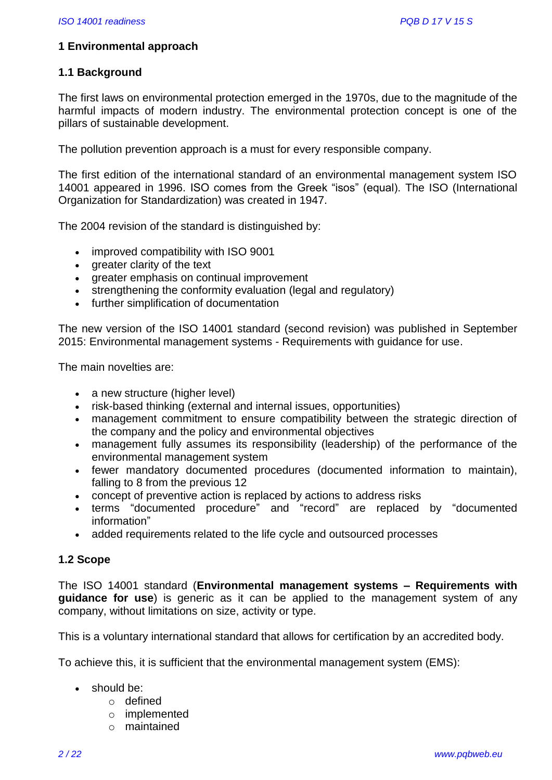# **1 Environmental approach**

# **1.1 Background**

The first laws on environmental protection emerged in the 1970s, due to the magnitude of the harmful impacts of modern industry. The environmental protection concept is one of the pillars of sustainable development.

The pollution prevention approach is a must for every responsible company.

The first edition of the international standard of an environmental management system ISO 14001 appeared in 1996. ISO comes from the Greek "isos" (equal). The ISO (International Organization for Standardization) was created in 1947.

The 2004 revision of the standard is distinguished by:

- improved compatibility with ISO 9001
- greater clarity of the text
- greater emphasis on continual improvement
- strengthening the conformity evaluation (legal and regulatory)
- further simplification of documentation

The new version of the ISO 14001 standard (second revision) was published in September 2015: Environmental management systems - Requirements with guidance for use.

The main novelties are:

- a new structure (higher level)
- risk-based thinking (external and internal issues, opportunities)
- management commitment to ensure compatibility between the strategic direction of the company and the policy and environmental objectives
- management fully assumes its responsibility (leadership) of the performance of the environmental management system
- fewer mandatory documented procedures (documented information to maintain), falling to 8 from the previous 12
- concept of preventive action is replaced by actions to address risks
- terms "documented procedure" and "record" are replaced by "documented information"
- added requirements related to the life cycle and outsourced processes

# **1.2 Scope**

The ISO 14001 standard (**Environmental management systems – Requirements with guidance for use**) is generic as it can be applied to the management system of any company, without limitations on size, activity or type.

This is a voluntary international standard that allows for certification by an accredited body.

To achieve this, it is sufficient that the environmental management system (EMS):

- should be:
	- o defined
	- o implemented
	- o maintained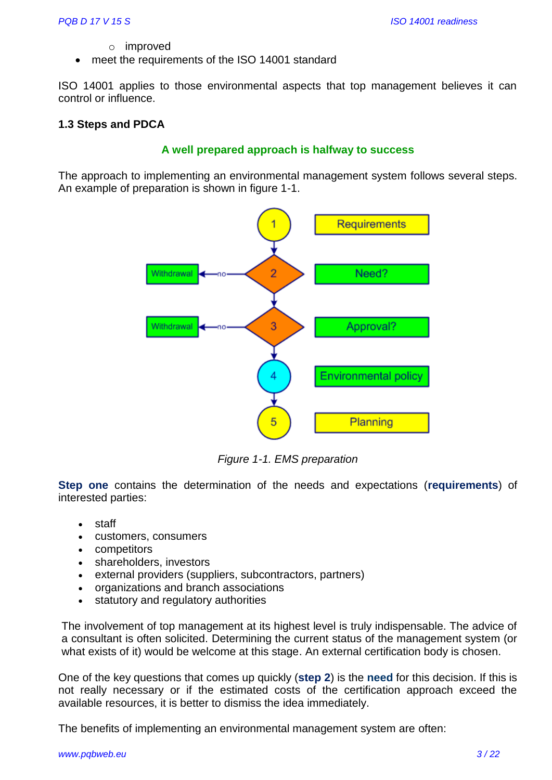- o improved
- meet the requirements of the ISO 14001 standard

ISO 14001 applies to those environmental aspects that top management believes it can control or influence.

# **1.3 Steps and PDCA**

# **A well prepared approach is halfway to success**

The approach to implementing an environmental management system follows several steps. An example of preparation is shown in figure 1-1.



*Figure 1-1. EMS preparation*

**Step one** contains the determination of the needs and expectations (**requirements**) of interested parties:

- staff
- customers, consumers
- competitors
- shareholders, investors
- external providers (suppliers, subcontractors, partners)
- organizations and branch associations
- statutory and regulatory authorities

The involvement of top management at its highest level is truly indispensable. The advice of a consultant is often solicited. Determining the current status of the management system (or what exists of it) would be welcome at this stage. An external certification body is chosen.

One of the key questions that comes up quickly (**step 2**) is the **need** for this decision. If this is not really necessary or if the estimated costs of the certification approach exceed the available resources, it is better to dismiss the idea immediately.

The benefits of implementing an environmental management system are often: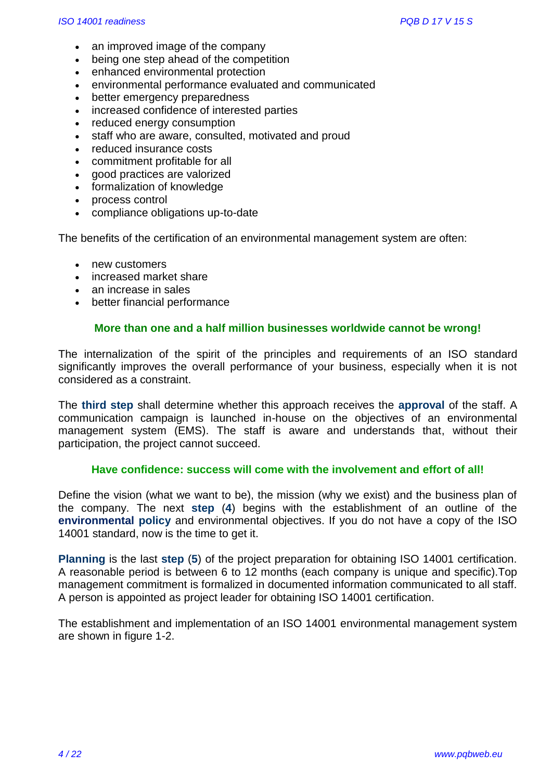- an improved image of the company
- being one step ahead of the competition
- enhanced environmental protection
- environmental performance evaluated and communicated
- better emergency preparedness
- increased confidence of interested parties
- reduced energy consumption
- staff who are aware, consulted, motivated and proud
- reduced insurance costs
- commitment profitable for all
- good practices are valorized
- formalization of knowledge
- process control
- compliance obligations up-to-date

The benefits of the certification of an environmental management system are often:

- new customers
- increased market share
- an increase in sales
- better financial performance

#### **More than one and a half million businesses worldwide cannot be wrong!**

The internalization of the spirit of the principles and requirements of an ISO standard significantly improves the overall performance of your business, especially when it is not considered as a constraint.

The **third step** shall determine whether this approach receives the **approval** of the staff. A communication campaign is launched in-house on the objectives of an environmental management system (EMS). The staff is aware and understands that, without their participation, the project cannot succeed.

#### **Have confidence: success will come with the involvement and effort of all!**

Define the vision (what we want to be), the mission (why we exist) and the business plan of the company. The next **step** (**4**) begins with the establishment of an outline of the **environmental policy** and environmental objectives. If you do not have a copy of the ISO 14001 standard, now is the time to get it.

**Planning** is the last **step** (**5**) of the project preparation for obtaining ISO 14001 certification. A reasonable period is between 6 to 12 months (each company is unique and specific).Top management commitment is formalized in documented information communicated to all staff. A person is appointed as project leader for obtaining ISO 14001 certification.

The establishment and implementation of an ISO 14001 environmental management system are shown in figure 1-2.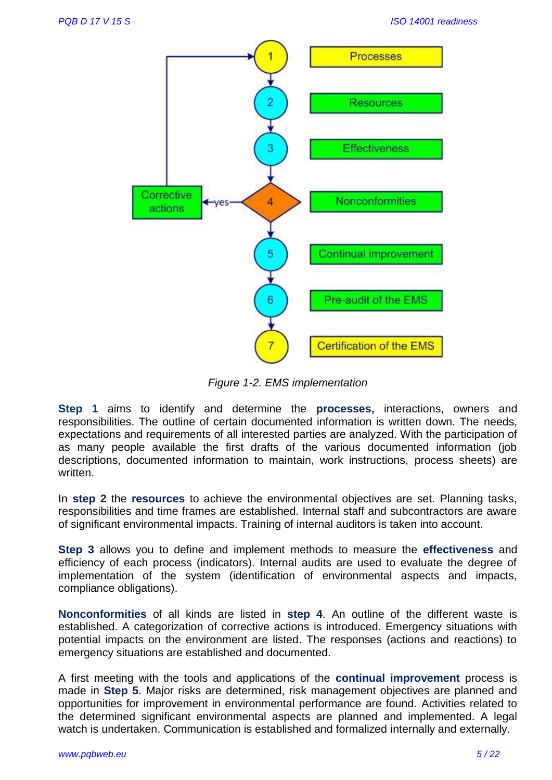

*Figure 1-2. EMS implementation*

**Step 1** aims to identify and determine the **processes,** interactions, owners and responsibilities. The outline of certain documented information is written down. The needs, expectations and requirements of all interested parties are analyzed. With the participation of as many people available the first drafts of the various documented information (job descriptions, documented information to maintain, work instructions, process sheets) are written.

In **step 2** the **resources** to achieve the environmental objectives are set. Planning tasks, responsibilities and time frames are established. Internal staff and subcontractors are aware of significant environmental impacts. Training of internal auditors is taken into account.

**Step 3** allows you to define and implement methods to measure the **effectiveness** and efficiency of each process (indicators). Internal audits are used to evaluate the degree of implementation of the system (identification of environmental aspects and impacts, compliance obligations).

**Nonconformities** of all kinds are listed in **step 4**. An outline of the different waste is established. A categorization of corrective actions is introduced. Emergency situations with potential impacts on the environment are listed. The responses (actions and reactions) to emergency situations are established and documented.

A first meeting with the tools and applications of the **continual improvement** process is made in **Step 5**. Major risks are determined, risk management objectives are planned and opportunities for improvement in environmental performance are found. Activities related to the determined significant environmental aspects are planned and implemented. A legal watch is undertaken. Communication is established and formalized internally and externally.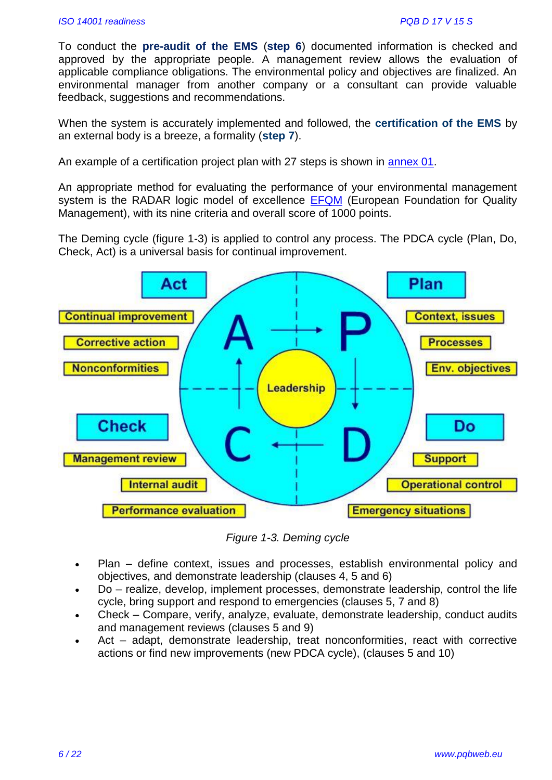To conduct the **pre-audit of the EMS** (**step 6**) documented information is checked and approved by the appropriate people. A management review allows the evaluation of applicable compliance obligations. The environmental policy and objectives are finalized. An environmental manager from another company or a consultant can provide valuable feedback, suggestions and recommendations.

When the system is accurately implemented and followed, the **certification of the EMS** by an external body is a breeze, a formality (**step 7**).

An example of a certification project plan with 27 steps is shown in [annex 01.](https://www.pqbweb.eu/document-d-17v15-set-of-documents-iso-14001-version-2015-readiness.php)

An appropriate method for evaluating the performance of your environmental management system is the RADAR logic model of excellence [EFQM](http://www.efqm.org/) (European Foundation for Quality Management), with its nine criteria and overall score of 1000 points.

The Deming cycle (figure 1-3) is applied to control any process. The PDCA cycle (Plan, Do, Check, Act) is a universal basis for continual improvement.



*Figure 1-3. Deming cycle*

- Plan define context, issues and processes, establish environmental policy and objectives, and demonstrate leadership (clauses 4, 5 and 6)
- Do realize, develop, implement processes, demonstrate leadership, control the life cycle, bring support and respond to emergencies (clauses 5, 7 and 8)
- Check Compare, verify, analyze, evaluate, demonstrate leadership, conduct audits and management reviews (clauses 5 and 9)
- Act adapt, demonstrate leadership, treat nonconformities, react with corrective actions or find new improvements (new PDCA cycle), (clauses 5 and 10)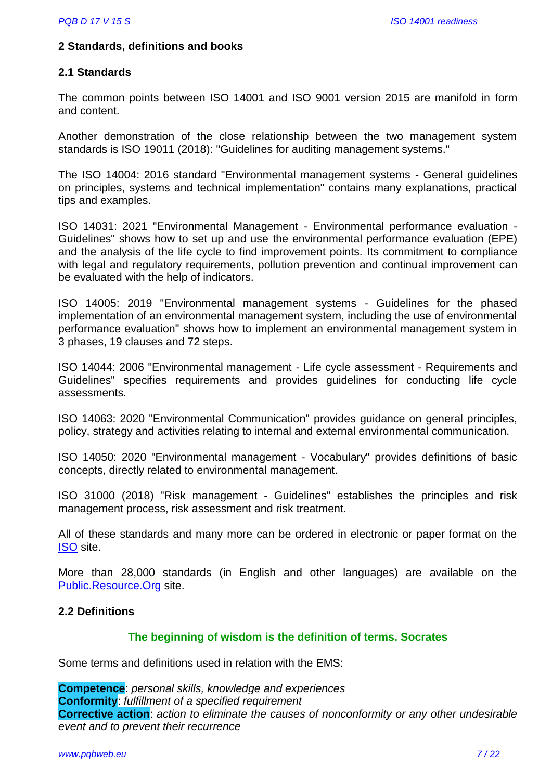# **2 Standards, definitions and books**

# **2.1 Standards**

The common points between ISO 14001 and ISO 9001 version 2015 are manifold in form and content.

Another demonstration of the close relationship between the two management system standards is ISO 19011 (2018): "Guidelines for auditing management systems."

The ISO 14004: 2016 standard "Environmental management systems - General guidelines on principles, systems and technical implementation" contains many explanations, practical tips and examples.

ISO 14031: 2021 "Environmental Management - Environmental performance evaluation - Guidelines" shows how to set up and use the environmental performance evaluation (EPE) and the analysis of the life cycle to find improvement points. Its commitment to compliance with legal and regulatory requirements, pollution prevention and continual improvement can be evaluated with the help of indicators.

ISO 14005: 2019 "Environmental management systems - Guidelines for the phased implementation of an environmental management system, including the use of environmental performance evaluation" shows how to implement an environmental management system in 3 phases, 19 clauses and 72 steps.

ISO 14044: 2006 "Environmental management - Life cycle assessment - Requirements and Guidelines" specifies requirements and provides guidelines for conducting life cycle assessments.

ISO 14063: 2020 "Environmental Communication" provides guidance on general principles, policy, strategy and activities relating to internal and external environmental communication.

ISO 14050: 2020 "Environmental management - Vocabulary" provides definitions of basic concepts, directly related to environmental management.

ISO 31000 (2018) "Risk management - Guidelines" establishes the principles and risk management process, risk assessment and risk treatment.

All of these standards and many more can be ordered in electronic or paper format on the [ISO](http://www.iso.ch/) site.

More than 28,000 standards (in English and other languages) are available on the [Public.Resource.Org](https://law.resource.org/pub/in/manifest.in.html) site.

#### **2.2 Definitions**

# **The beginning of wisdom is the definition of terms. Socrates**

Some terms and definitions used in relation with the EMS:

**Competence**: *personal skills, knowledge and experiences* **Conformity**: *fulfillment of a specified requirement*  **Corrective action**: *action to eliminate the causes of nonconformity or any other undesirable event and to prevent their recurrence*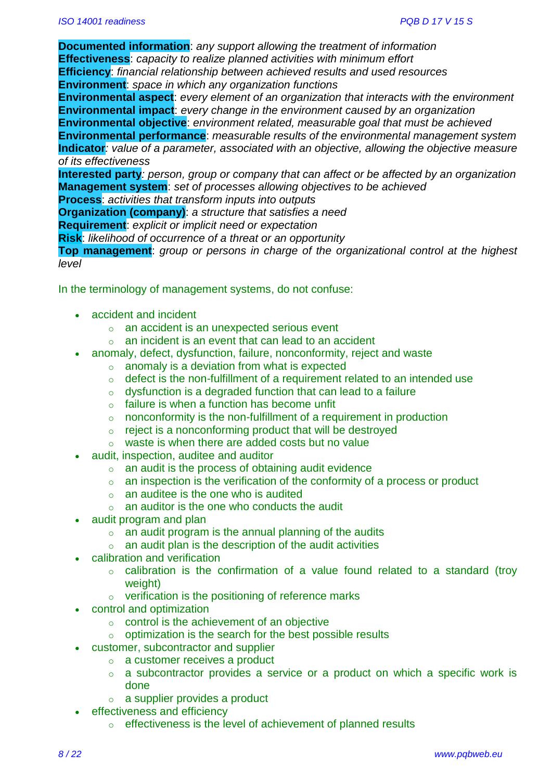**Documented information**: *any support allowing the treatment of information* **Effectiveness**: *capacity to realize planned activities with minimum effort* **Efficiency**: *financial relationship between achieved results and used resources*  **Environment**: *space in which any organization functions*

**Environmental aspect**: *every element of an organization that interacts with the environment* **Environmental impact**: *every change in the environment caused by an organization* **Environmental objective**: *environment related, measurable goal that must be achieved*  **Environmental performance**: *measurable results of the environmental management system* **Indicator***: value of a parameter, associated with an objective, allowing the objective measure of its effectiveness*

**Interested party***: person, group or company that can affect or be affected by an organization* **Management system**: *set of processes allowing objectives to be achieved*

**Process**: *activities that transform inputs into outputs*

**Organization (company)**: *a structure that satisfies a need*

**Requirement**: *explicit or implicit need or expectation*

**Risk**: *likelihood of occurrence of a threat or an opportunity*

**Top management**: *group or persons in charge of the organizational control at the highest level*

In the terminology of management systems, do not confuse:

- accident and incident
	- o an accident is an unexpected serious event
	- o an incident is an event that can lead to an accident
	- anomaly, defect, dysfunction, failure, nonconformity, reject and waste
		- $\circ$  anomaly is a deviation from what is expected
			- $\circ$  defect is the non-fulfillment of a requirement related to an intended use
			- $\circ$  dysfunction is a degraded function that can lead to a failure
			- $\circ$  failure is when a function has become unfit
			- o nonconformity is the non-fulfillment of a requirement in production
		- $\circ$  reject is a nonconforming product that will be destroyed
		- o waste is when there are added costs but no value
- audit, inspection, auditee and auditor
	- $\circ$  an audit is the process of obtaining audit evidence
	- $\circ$  an inspection is the verification of the conformity of a process or product
	- $\circ$  an auditee is the one who is audited
	- $\circ$  an auditor is the one who conducts the audit
- audit program and plan
	- $\circ$  an audit program is the annual planning of the audits
	- $\circ$  an audit plan is the description of the audit activities
- calibration and verification
	- o calibration is the confirmation of a value found related to a standard (troy weight)
	- o verification is the positioning of reference marks
- control and optimization
	- $\circ$  control is the achievement of an objective
	- $\circ$  optimization is the search for the best possible results
- customer, subcontractor and supplier
	- o a customer receives a product
	- o a subcontractor provides a service or a product on which a specific work is done
	- $\circ$  a supplier provides a product
- effectiveness and efficiency
	- o effectiveness is the level of achievement of planned results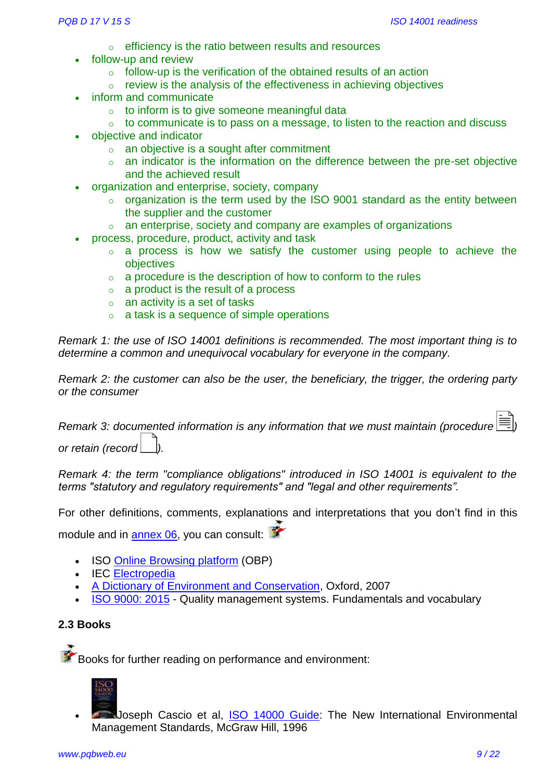- o efficiency is the ratio between results and resources
- follow-up and review
	- $\circ$  follow-up is the verification of the obtained results of an action
	- $\circ$  review is the analysis of the effectiveness in achieving objectives
- inform and communicate
	- $\circ$  to inform is to give someone meaningful data
	- $\circ$  to communicate is to pass on a message, to listen to the reaction and discuss
- objective and indicator
	- o an objective is a sought after commitment
	- o an indicator is the information on the difference between the pre-set objective and the achieved result
- organization and enterprise, society, company
	- $\circ$  organization is the term used by the ISO 9001 standard as the entity between the supplier and the customer
	- o an enterprise, society and company are examples of organizations
- process, procedure, product, activity and task
	- $\circ$  a process is how we satisfy the customer using people to achieve the objectives
	- $\circ$  a procedure is the description of how to conform to the rules
	- o a product is the result of a process
	- $\circ$  an activity is a set of tasks
	- $\circ$  a task is a sequence of simple operations

*Remark 1: the use of ISO 14001 definitions is recommended. The most important thing is to determine a common and unequivocal vocabulary for everyone in the company.* 

*Remark 2: the customer can also be the user, the beneficiary, the trigger, the ordering party or the consumer*

*Remark 3: documented information is any information that we must maintain (procedure ) or retain (record ).*

*Remark 4: the term "compliance obligations" introduced in ISO 14001 is equivalent to the terms "statutory and regulatory requirements" and "legal and other requirements".* 

For other definitions, comments, explanations and interpretations that you don't find in this module and in [annex 06,](https://www.pqbweb.eu/document-d-17v15-set-of-documents-iso-14001-version-2015-readiness.php) you can consult:

- **ISO [Online Browsing platform](https://www.iso.org/obp/ui#home) (OBP)**
- IEC [Electropedia](http://www.electropedia.org/)
- [A Dictionary of Environment and Conservation,](http://www.oxfordreference.com/view/10.1093/acref/9780198609957.001.0001/acref-9780198609957) Oxford, 2007
- [ISO 9000: 2015](https://www.iso.org/standard/45481.html) Quality management systems. Fundamentals and vocabulary

# **2.3 Books**

Books for further reading on performance and environment:



 Joseph Cascio et al, [ISO 14000 Guide:](http://www.amazon.co.uk/ISO-14000-Guide-International-Environmental/dp/0070116253/ref=sr_1_1?ie=UTF8&qid=1423238133&sr=8-1&keywords=ISO+14000+Guide%3A+The+New+International+Environmental+Management+Standards) The New International Environmental Management Standards, McGraw Hill, 1996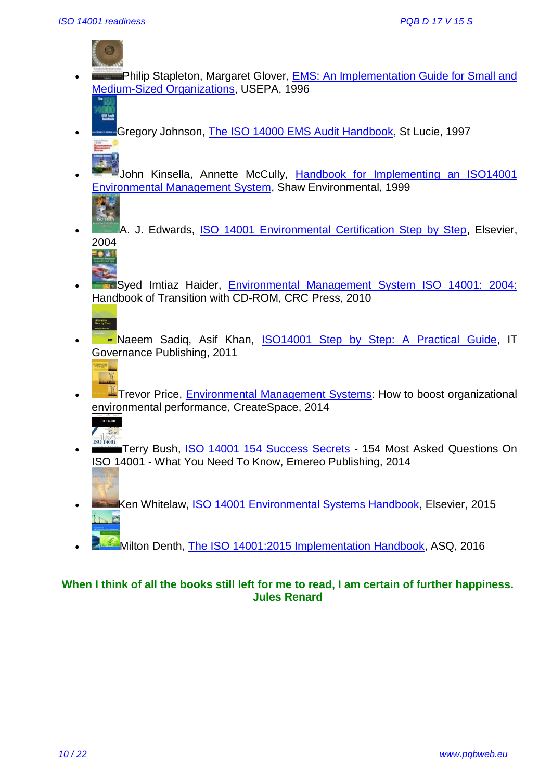

25.50

- Philip Stapleton, Margaret Glover, [EMS: An Implementation Guide for Small and](http://www.amazon.co.uk/Environmental-Management-Systems-Implementation-Organizations/dp/1288656866/ref=sr_1_4?ie=UTF8&qid=1423239101&sr=8-4&keywords=An+Implementation+Guide+for+Small+and+Medium-Sized+Organizations)  [Medium-Sized Organizations,](http://www.amazon.co.uk/Environmental-Management-Systems-Implementation-Organizations/dp/1288656866/ref=sr_1_4?ie=UTF8&qid=1423239101&sr=8-4&keywords=An+Implementation+Guide+for+Small+and+Medium-Sized+Organizations) USEPA, 1996
- Gregory Johnson, [The ISO 14000 EMS Audit Handbook,](http://www.amazon.co.uk/ISO-14000-EMS-Audit-Handbook/dp/1574440691/ref=sr_1_1?ie=UTF8&qid=1423238330&sr=8-1&keywords=The+ISO+14000+EMS+Audit+Handbook) St Lucie, 1997
- John Kinsella, Annette McCully, Handbook for Implementing an ISO14001 [Environmental Management System,](http://www.amazon.co.uk/Handbook-Implementing-Environmental-Management-System/dp/0967147522/ref=sr_1_1?ie=UTF8&qid=1423238508&sr=8-1&keywords=Handbook+for+Implementing+an+ISO14001+Environmental+Management+System) Shaw Environmental, 1999
- A. J. Edwards, [ISO 14001 Environmental Certification Step by Step,](http://www.amazon.com/ISO-14001-Environmental-Certification-Step/dp/0750661003) Elsevier, 2004
- **Syed Imtiaz Haider, [Environmental Management System ISO 14001: 2004:](http://www.amazon.co.uk/Environmental-Management-System-ISO-14001/dp/143982939X/ref=sr_1_1?ie=UTF8&qid=1423238857&sr=8-1&keywords=Environmental+Management+System+ISO+14001%3A+2004)** Handbook of Transition with CD-ROM, CRC Press, 2010



• **Example 2** Naeem Sadig, Asif Khan, [ISO14001 Step by Step: A Practical Guide,](https://www.amazon.fr/ISO14001-Step-Practical-Guide/dp/1849281025/ref=tmm_pap_swatch_0?_encoding=UTF8&qid=1468152140&sr=1-3) IT Governance Publishing, 2011



**A** Trevor Price, [Environmental Management Systems:](https://www.amazon.com/Environmental-Management-Systems-organizational-environmental/dp/1502940930/ref=sr_1_7?s=books&ie=UTF8&qid=1468153043&sr=1-7&keywords=iso+14001+2015) How to boost organizational environmental performance, CreateSpace, 2014



- Terry Bush, [ISO 14001 154 Success Secrets](https://www.amazon.fr/ISO-14001-154-Success-Secrets/dp/1488861463/ref=sr_1_16?s=english-books&ie=UTF8&qid=1468152140&sr=1-16&keywords=iso+14001) 154 Most Asked Questions On ISO 14001 - What You Need To Know, Emereo Publishing, 2014
- **[K](http://www.amazon.com/ISO-14001-Environmental-Systems-Handbook/dp/0750648430)en Whitelaw, [ISO 14001 Environmental Systems Handbook,](https://www.amazon.com/14001-Environmental-Systems-Handbook-Hardcover/dp/B01GMI6A70/ref=sr_1_17?ie=UTF8&qid=1469684393&sr=8-17&keywords=iso+14001+2015) Elsevier, 2015**
- Milton Denth, [The ISO 14001:2015 Implementation Handbook,](http://asq.org/quality-press/display-item/index.html?item=H1507) ASQ, 2016

# **When I think of all the books still left for me to read, I am certain of further happiness. Jules Renard**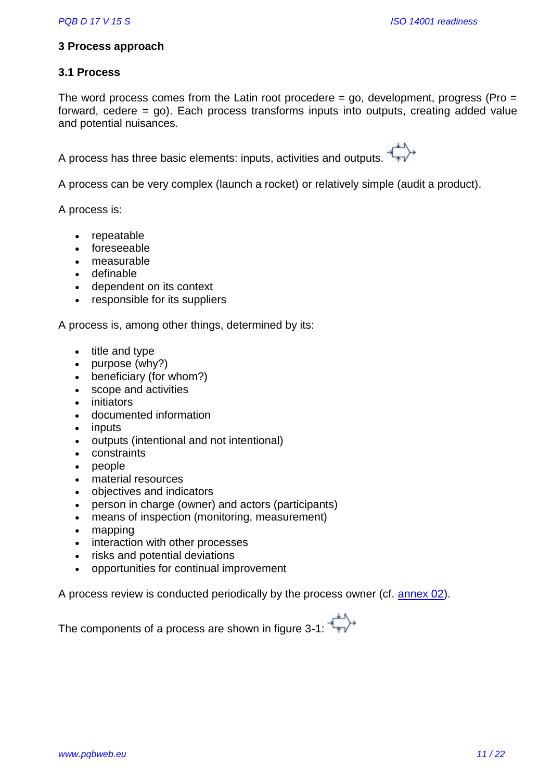# **3 Process approach**

# **3.1 Process**

The word process comes from the Latin root procedere  $=$  go, development, progress (Pro  $=$ forward, cedere = go). Each process transforms inputs into outputs, creating added value and potential nuisances.

A process has three basic elements: inputs, activities and outputs.

A process can be very complex (launch a rocket) or relatively simple (audit a product).

A process is:

- repeatable
- foreseeable
- measurable
- definable
- dependent on its context
- responsible for its suppliers

A process is, among other things, determined by its:

- $\bullet$  title and type
- purpose (why?)
- beneficiary (for whom?)
- scope and activities
- initiators
- documented information
- inputs
- outputs (intentional and not intentional)
- constraints
- people
- material resources
- objectives and indicators
- person in charge (owner) and actors (participants)
- means of inspection (monitoring, measurement)
- mapping
- interaction with other processes
- risks and potential deviations
- opportunities for continual improvement

A process review is conducted periodically by the process owner (cf. [annex 02\)](https://www.pqbweb.eu/document-d-17v15-set-of-documents-iso-14001-version-2015-readiness.php).

The components of a process are shown in figure 3-1: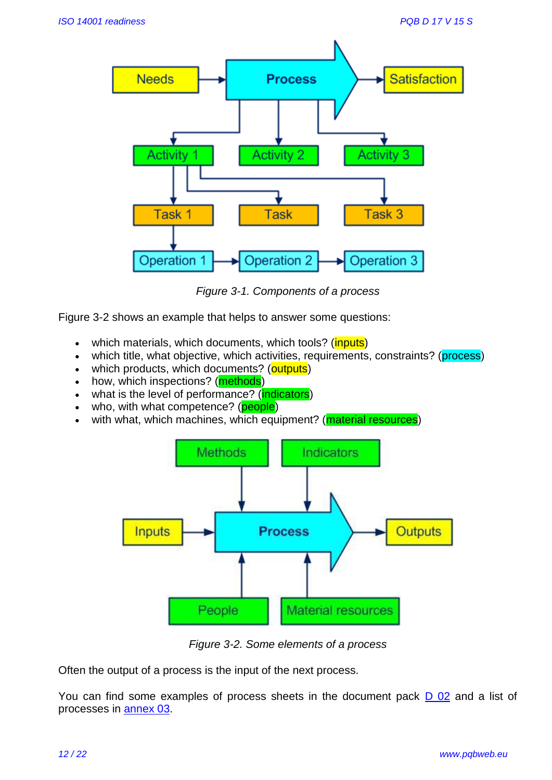

*Figure 3-1. Components of a process*

Figure 3-2 shows an example that helps to answer some questions:

- which materials, which documents, which tools? (*inputs*)
- which title, what objective, which activities, requirements, constraints? (process)
- which products, which documents? (outputs)
- how, which inspections? (**methods**)
- what is the level of performance? (indicators)
- who, with what competence? (people)
- with what, which machines, which equipment? (**material resources**)



*Figure 3-2. Some elements of a process*

Often the output of a process is the input of the next process.

You can find some examples of process sheets in the document pack **D 02** and a list of processes in [annex 03.](https://www.pqbweb.eu/document-d-17v15-set-of-documents-iso-14001-version-2015-readiness.php)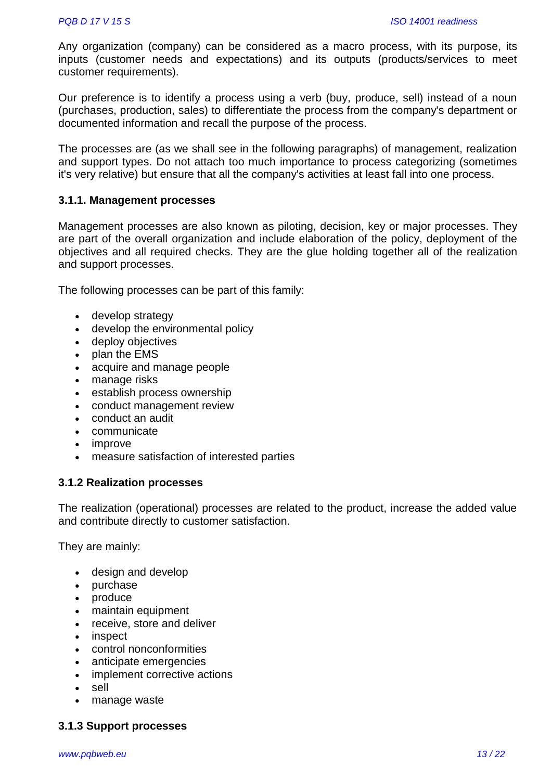Any organization (company) can be considered as a macro process, with its purpose, its inputs (customer needs and expectations) and its outputs (products/services to meet customer requirements).

Our preference is to identify a process using a verb (buy, produce, sell) instead of a noun (purchases, production, sales) to differentiate the process from the company's department or documented information and recall the purpose of the process.

The processes are (as we shall see in the following paragraphs) of management, realization and support types. Do not attach too much importance to process categorizing (sometimes it's very relative) but ensure that all the company's activities at least fall into one process.

## **3.1.1. Management processes**

Management processes are also known as piloting, decision, key or major processes. They are part of the overall organization and include elaboration of the policy, deployment of the objectives and all required checks. They are the glue holding together all of the realization and support processes.

The following processes can be part of this family:

- develop strategy
- develop the environmental policy
- deploy objectives
- plan the EMS
- acquire and manage people
- manage risks
- establish process ownership
- conduct management review
- conduct an audit
- communicate
- improve
- measure satisfaction of interested parties

#### **3.1.2 Realization processes**

The realization (operational) processes are related to the product, increase the added value and contribute directly to customer satisfaction.

They are mainly:

- design and develop
- purchase
- produce
- maintain equipment
- receive, store and deliver
- inspect
- control nonconformities
- anticipate emergencies
- implement corrective actions
- sell
- manage waste

# **3.1.3 Support processes**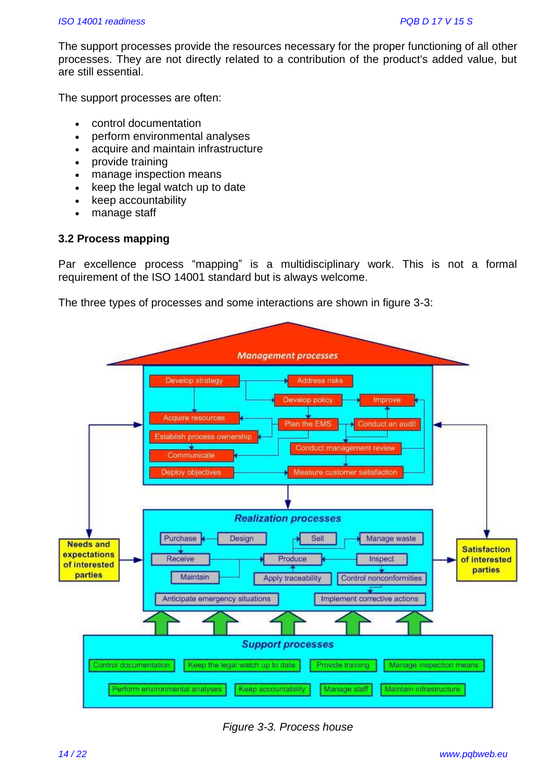The support processes provide the resources necessary for the proper functioning of all other processes. They are not directly related to a contribution of the product's added value, but are still essential.

The support processes are often:

- control documentation
- perform environmental analyses
- acquire and maintain infrastructure
- provide training
- manage inspection means
- keep the legal watch up to date
- keep accountability
- manage staff

# **3.2 Process mapping**

Par excellence process "mapping" is a multidisciplinary work. This is not a formal requirement of the ISO 14001 standard but is always welcome.

The three types of processes and some interactions are shown in figure 3-3:



*Figure 3-3. Process house*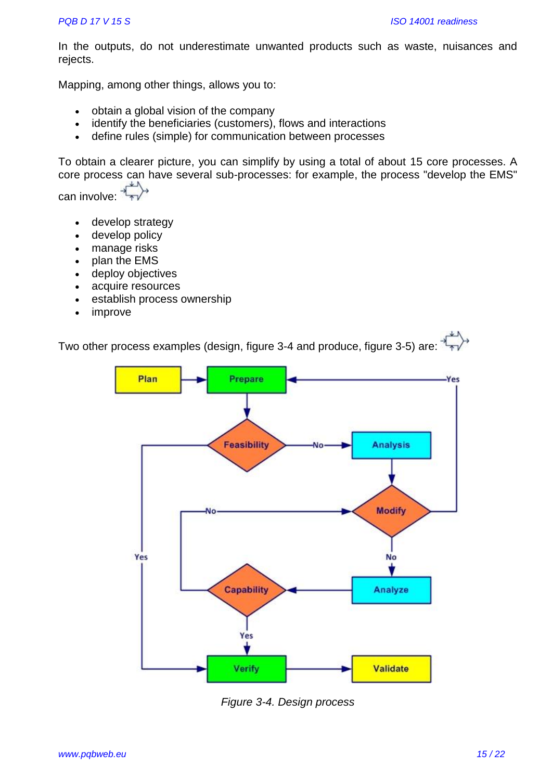In the outputs, do not underestimate unwanted products such as waste, nuisances and rejects.

Mapping, among other things, allows you to:

- obtain a global vision of the company
- identify the beneficiaries (customers), flows and interactions
- define rules (simple) for communication between processes

To obtain a clearer picture, you can simplify by using a total of about 15 core processes. A core process can have several sub-processes: for example, the process "develop the EMS"

can involve:

- develop strategy
- develop policy
- manage risks
- plan the EMS
- deploy objectives
- acquire resources
- establish process ownership
- improve

Two other process examples (design, figure 3-4 and produce, figure 3-5) are:



*Figure 3-4. Design process*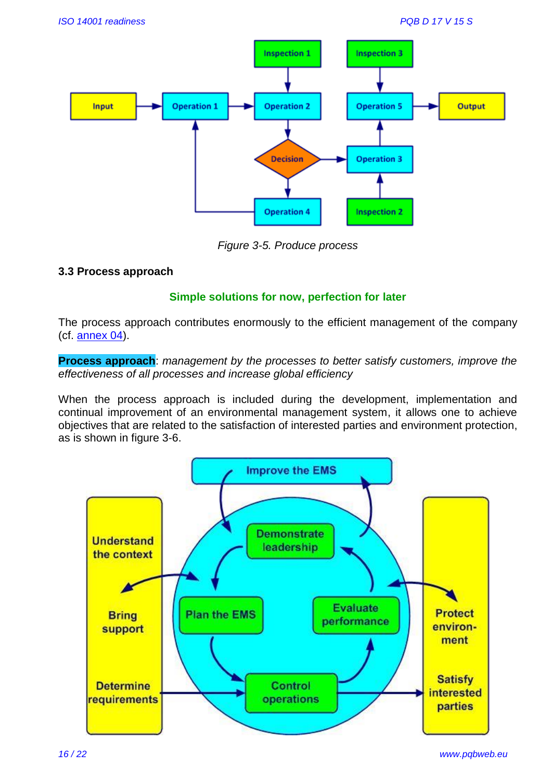

*Figure 3-5. Produce process*

# **3.3 Process approach**

# **Simple solutions for now, perfection for later**

The process approach contributes enormously to the efficient management of the company (cf. [annex 04\)](https://www.pqbweb.eu/document-d-17v15-set-of-documents-iso-14001-version-2015-readiness.php).

**Process approach**: *management by the processes to better satisfy customers, improve the effectiveness of all processes and increase global efficiency*

When the process approach is included during the development, implementation and continual improvement of an environmental management system, it allows one to achieve objectives that are related to the satisfaction of interested parties and environment protection, as is shown in figure 3-6.

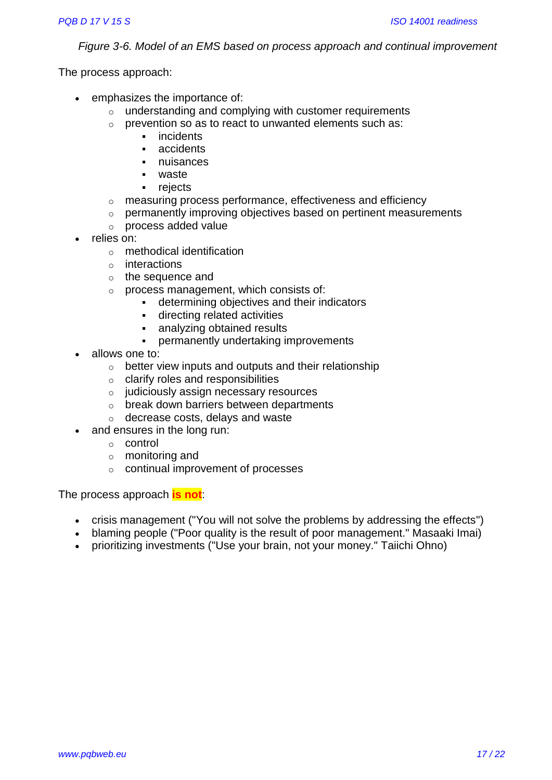*Figure 3-6. Model of an EMS based on process approach and continual improvement*

The process approach:

- emphasizes the importance of:
	- o understanding and complying with customer requirements
	- o prevention so as to react to unwanted elements such as:
		- incidents
		- **accidents**
		- nuisances
		- waste
		- rejects
	- o measuring process performance, effectiveness and efficiency
	- o permanently improving objectives based on pertinent measurements
	- o process added value
- relies on:
	- o methodical identification
	- o interactions
	- o the sequence and
	- o process management, which consists of:
		- determining objectives and their indicators
		- directing related activities
		- analyzing obtained results
		- permanently undertaking improvements
- allows one to:
	- o better view inputs and outputs and their relationship
	- $\circ$  clarify roles and responsibilities
	- o judiciously assign necessary resources
	- o break down barriers between departments
	- o decrease costs, delays and waste
- and ensures in the long run:
	- o control
	- o monitoring and
	- o continual improvement of processes

The process approach **is not**:

- crisis management ("You will not solve the problems by addressing the effects")
- blaming people ("Poor quality is the result of poor management." Masaaki Imai)
- prioritizing investments ("Use your brain, not your money." Taiichi Ohno)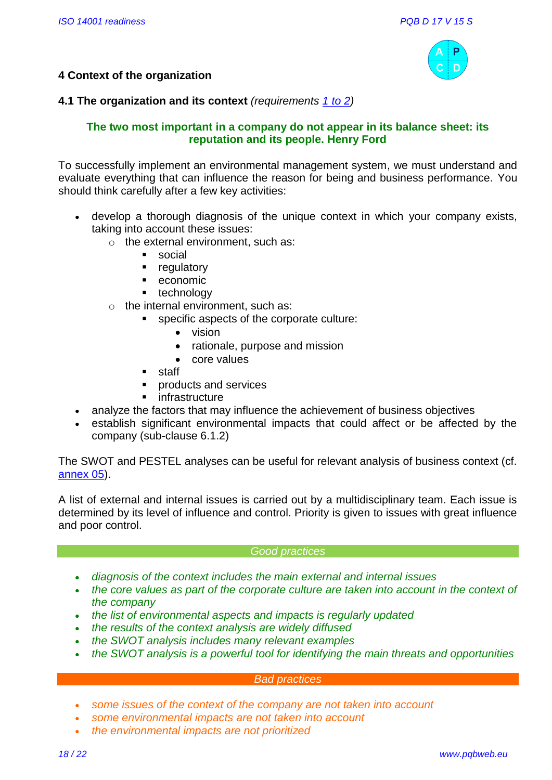

# **4 Context of the organization**

# **4.1 The organization and its context** *(requirements [1 to 2\)](http://www.pqbweb.eu/page.php?id=38#4.1)*

# **The two most important in a company do not appear in its balance sheet: its reputation and its people. Henry Ford**

To successfully implement an environmental management system, we must understand and evaluate everything that can influence the reason for being and business performance. You should think carefully after a few key activities:

- develop a thorough diagnosis of the unique context in which your company exists, taking into account these issues:
	- $\circ$  the external environment, such as:
		- **social**
		- **•** regulatory
		- **economic**
		- **technology**
	- $\circ$  the internal environment, such as:
		- specific aspects of the corporate culture:
			- vision
			- rationale, purpose and mission
			- core values
			- staff
		- **products and services**
		- **n** infrastructure
- analyze the factors that may influence the achievement of business objectives
- establish significant environmental impacts that could affect or be affected by the company (sub-clause 6.1.2)

The SWOT and PESTEL analyses can be useful for relevant analysis of business context (cf. [annex 05\)](https://www.pqbweb.eu/document-d-17v15-set-of-documents-iso-14001-version-2015-readiness.php).

A list of external and internal issues is carried out by a multidisciplinary team. Each issue is determined by its level of influence and control. Priority is given to issues with great influence and poor control.

#### *Good practices*

- *diagnosis of the context includes the main external and internal issues*
- the core values as part of the corporate culture are taken into account in the context of *the company*
- *the list of environmental aspects and impacts is regularly updated*
- *the results of the context analysis are widely diffused*
- *the SWOT analysis includes many relevant examples*
- *the SWOT analysis is a powerful tool for identifying the main threats and opportunities*

#### *Bad practices*

- *some issues of the context of the company are not taken into account*
- *some environmental impacts are not taken into account*
- *the environmental impacts are not prioritized*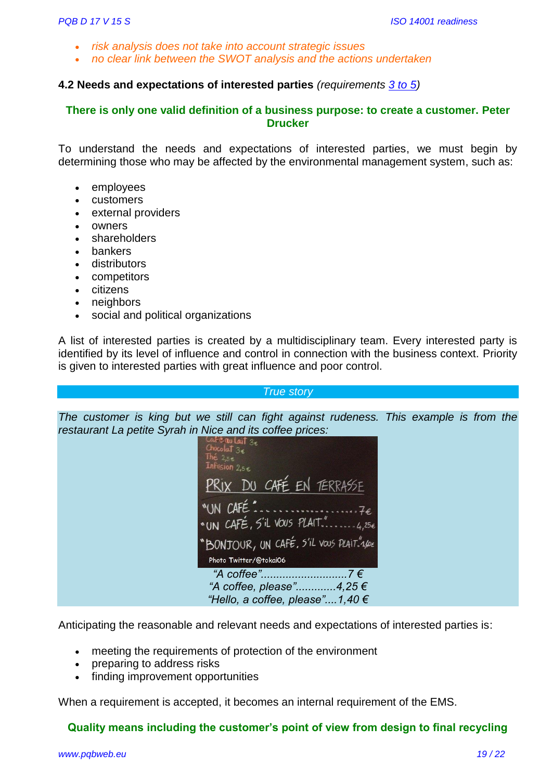- *risk analysis does not take into account strategic issues*
- *no clear link between the SWOT analysis and the actions undertaken*

#### **4.2 Needs and expectations of interested parties** *(requirements [3 to](http://www.pqbweb.eu/page.php?id=38#4.1=2) 5)*

#### **There is only one valid definition of a business purpose: to create a customer. Peter Drucker**

To understand the needs and expectations of interested parties, we must begin by determining those who may be affected by the environmental management system, such as:

- employees
- customers
- external providers
- owners
- shareholders
- bankers
- distributors
- competitors
- citizens
- neighbors
- social and political organizations

A list of interested parties is created by a multidisciplinary team. Every interested party is identified by its level of influence and control in connection with the business context. Priority is given to interested parties with great influence and poor control.

#### *True story*

*The customer is king but we still can fight against rudeness. This example is from the restaurant La petite Syrah in Nice and its coffee prices:*

| Chocolat $3\epsilon$<br>The $2.5e$<br>Infusion 2,5€                                        |
|--------------------------------------------------------------------------------------------|
| PRIX DU CAFÉ EN TERRASSE                                                                   |
| "UN CAFÉ"<br>* UN CAFÉ, S'il VOUS PLAIT."4,256<br>"BONJOUR, UN CAFÉ, 5'il vous PLAIT."A/OE |
| Photo Twitter/@tokai06                                                                     |
| "A coffee"<br>$7 \in$<br>"A coffee, please"4,25 $\in$<br>"Hello, a coffee, please"1,40 €   |

Anticipating the reasonable and relevant needs and expectations of interested parties is:

- meeting the requirements of protection of the environment
- preparing to address risks
- finding improvement opportunities

When a requirement is accepted, it becomes an internal requirement of the EMS.

#### **Quality means including the customer's point of view from design to final recycling**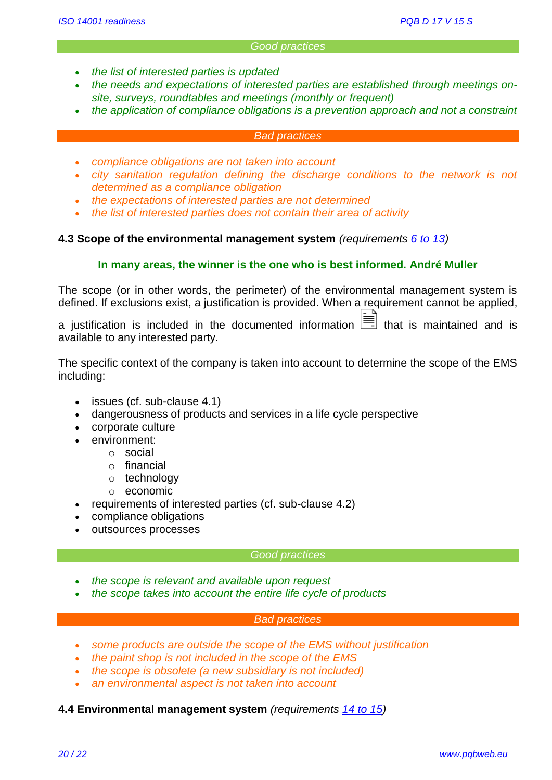#### *Good practices*

- *the list of interested parties is updated*
- *the needs and expectations of interested parties are established through meetings onsite, surveys, roundtables and meetings (monthly or frequent)*
- *the application of compliance obligations is a prevention approach and not a constraint*

#### *Bad practices*

- *compliance obligations are not taken into account*
- *city sanitation regulation defining the discharge conditions to the network is not determined as a compliance obligation*
- *the expectations of interested parties are not determined*
- *the list of interested parties does not contain their area of activity*

#### **4.3 Scope of the environmental management system** *(requirements [6 to 13\)](http://www.pqbweb.eu/page.php?id=38#4.3)*

#### **In many areas, the winner is the one who is best informed. André Muller**

The scope (or in other words, the perimeter) of the environmental management system is defined. If exclusions exist, a justification is provided. When a requirement cannot be applied,

a justification is included in the documented information  $\equiv$  that is maintained and is available to any interested party.

The specific context of the company is taken into account to determine the scope of the EMS including:

- issues (cf. sub-clause 4.1)
- dangerousness of products and services in a life cycle perspective
- corporate culture
- environment:
	- o social
	- o financial
	- o technology
	- o economic
- requirements of interested parties (cf. sub-clause 4.2)
	- compliance obligations
- outsources processes

#### *Good practices*

- *the scope is relevant and available upon request*
- *the scope takes into account the entire life cycle of products*

#### *Bad practices*

- *some products are outside the scope of the EMS without justification*
- *the paint shop is not included in the scope of the EMS*
- *the scope is obsolete (a new subsidiary is not included)*
- *an environmental aspect is not taken into account*

#### **4.4 Environmental management system** *(requirements [14 to](http://www.pqbweb.eu/page.php?id=38#4.4) 15)*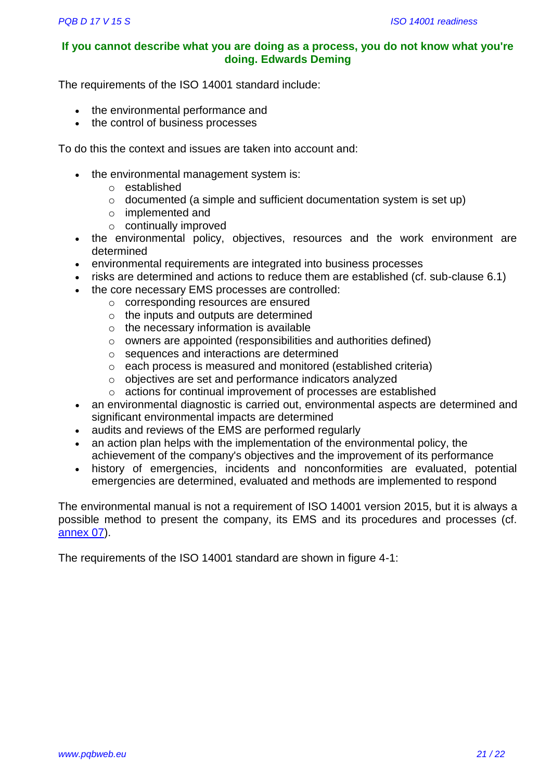# **If you cannot describe what you are doing as a process, you do not know what you're doing. Edwards Deming**

The requirements of the ISO 14001 standard include:

- the environmental performance and
- the control of business processes

To do this the context and issues are taken into account and:

- the environmental management system is:
	- o established
	- $\circ$  documented (a simple and sufficient documentation system is set up)
	- o implemented and
	- o continually improved
- the environmental policy, objectives, resources and the work environment are determined
- environmental requirements are integrated into business processes
- risks are determined and actions to reduce them are established (cf. sub-clause 6.1)
- the core necessary EMS processes are controlled:
	- o corresponding resources are ensured
	- o the inputs and outputs are determined
	- $\circ$  the necessary information is available
	- o owners are appointed (responsibilities and authorities defined)
	- o sequences and interactions are determined
	- o each process is measured and monitored (established criteria)
	- o objectives are set and performance indicators analyzed
	- o actions for continual improvement of processes are established
- an environmental diagnostic is carried out, environmental aspects are determined and significant environmental impacts are determined
- audits and reviews of the EMS are performed regularly
- an action plan helps with the implementation of the environmental policy, the achievement of the company's objectives and the improvement of its performance
- history of emergencies, incidents and nonconformities are evaluated, potential emergencies are determined, evaluated and methods are implemented to respond

The environmental manual is not a requirement of ISO 14001 version 2015, but it is always a possible method to present the company, its EMS and its procedures and processes (cf. [annex 07\)](https://www.pqbweb.eu/document-d-17v15-set-of-documents-iso-14001-version-2015-readiness.php).

The requirements of the ISO 14001 standard are shown in figure 4-1: